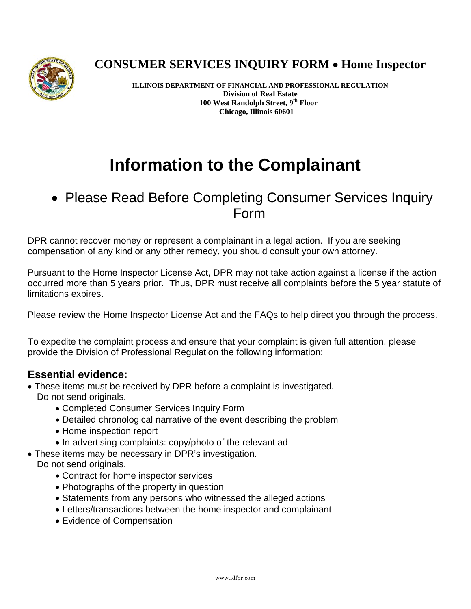

## **CONSUMER SERVICES INQUIRY FORM Home Inspector**

**ILLINOIS DEPARTMENT OF FINANCIAL AND PROFESSIONAL REGULATION Division of Real Estate 100 West Randolph Street, 9th Floor Chicago, Illinois 60601** 

# **Information to the Complainant**

• Please Read Before Completing Consumer Services Inquiry Form

DPR cannot recover money or represent a complainant in a legal action. If you are seeking compensation of any kind or any other remedy, you should consult your own attorney.

Pursuant to the Home Inspector License Act, DPR may not take action against a license if the action occurred more than 5 years prior. Thus, DPR must receive all complaints before the 5 year statute of limitations expires.

Please review the Home Inspector License Act and the FAQs to help direct you through the process.

To expedite the complaint process and ensure that your complaint is given full attention, please provide the Division of Professional Regulation the following information:

### **Essential evidence:**

- These items must be received by DPR before a complaint is investigated. Do not send originals.
	- Completed Consumer Services Inquiry Form
	- Detailed chronological narrative of the event describing the problem
	- Home inspection report
	- In advertising complaints: copy/photo of the relevant ad
- These items may be necessary in DPR's investigation.
- Do not send originals.
	- Contract for home inspector services
	- Photographs of the property in question
	- Statements from any persons who witnessed the alleged actions
	- Letters/transactions between the home inspector and complainant
	- Evidence of Compensation